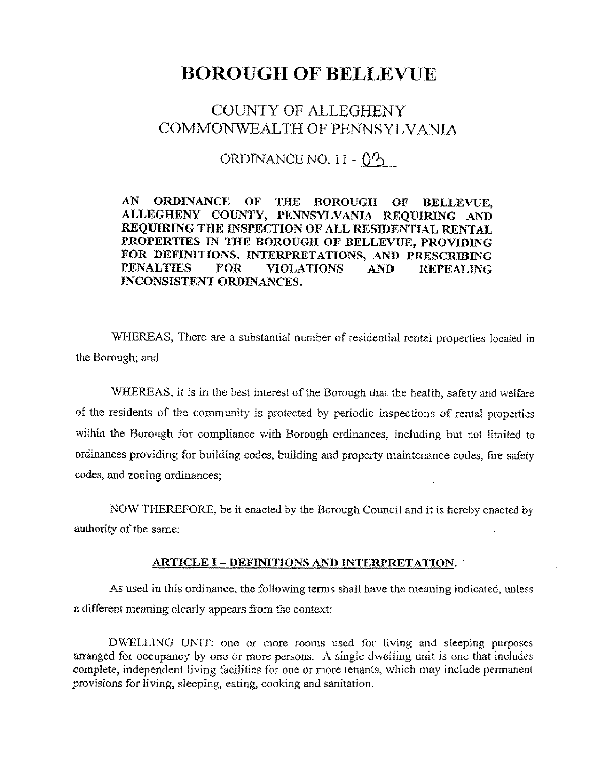# **BOROUGH OF BELLEVUE**

# COUNTY OF ALLEGHENY COMMONWEALTH OF PENNSYLVANIA

ORDINANCE NO. 11 -  $\binom{1}{2}$ 

**AN ORDINANCE OF THE BOROUGH OF BELLEVUE, ALLEGHENY COUNTY, PENNSYLVANIA REQUIRING AND REQUIRING THE INSPECTION OF ALL RESIDENTIAL RENTAL PROPERTIES IN THE BOROUGH OF BELLEVUE, PROVIDING FOR DEFINITIONS, INTERPRETATIONS, AND PRESCRIBING**  FOR VIOLATIONS AND REPEALING **INCONSISTENT ORDINANCES.** 

WHEREAS, There are a substantial number of residential rental properties located in the Borough; and

WHEREAS, it is in the best interest of the Borough that the health, safety and welfare of the residents of the community is protected by periodic inspections of rental properties within the Borough for compliance with Borough ordinances, including but not limited to ordinances providing for building codes, building and property maintenance codes, fire safety codes, and zoning ordinances;

NOW THEREFORE, be it enacted by the Borough Council and it is hereby enacted by authority of the same:

#### **ARTICLE** I - **DEFINITIONS AND INTERPRETATION.**

As used in this ordinance, the following terms shall have the meaning indicated, unless a different meaning clearly appears from the context:

DWELLING UNIT: one or more rooms used for living and sleeping purposes arranged for occupancy by one or more persons. A single dwelling unit is one that includes complete, independent living facilities for one or more tenants, which may include permanent provisions for living, sleeping, eating, cooking and sanitation.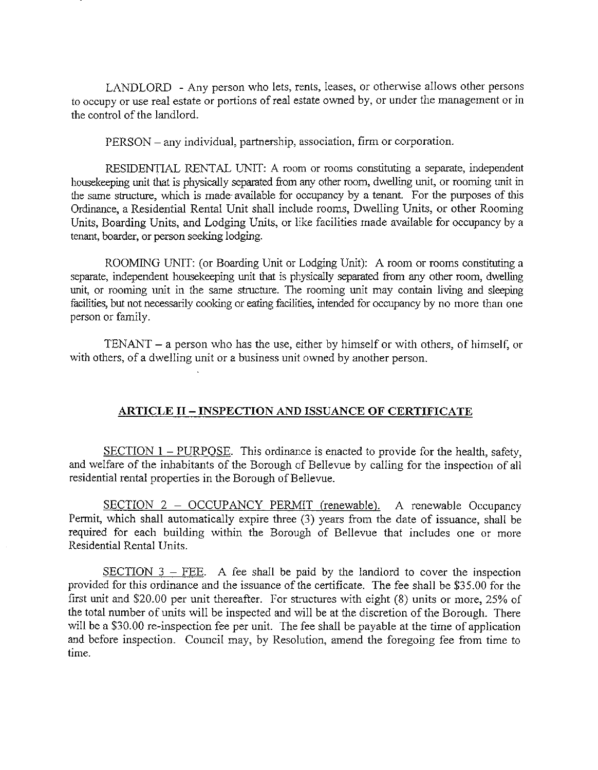LANDLORD - Any person who lets, rents, leases, or otherwise allows other persons to occupy or use real estate or portions of real estate owned by, or under the management or in the control of the landlord.

PERSON - any individual, partnership, association, firm or corporation.

RESIDENTIAL RENTAL UNIT: A room or rooms constituting a separate, independent housekeeping unit that is physically separated from any other room, dwelling unit, or rooming unit in the same structure, which is made· available for occupancy by a tenant. For the purposes of this Ordinance, a Residential Rental Unit shall include rooms, Dwelling Units, or other Rooming Units, Boarding Units, and Lodging Units, or like facilities made available for occupancy by a tenant, boarder, or person seeking lodging.

ROOMING UNIT: (or Boarding Unit or Lodging Unit): A room or rooms constituting a separate, independent housekeeping unit that is physically separated from any other room, dwelling unit, or rooming unit in the same structure. The rooming unit may contain living and sleeping facilities, but not necessarily cooking or eating facilities, intended for occupancy by no more than one person or family.

 $TENANT - a person who has the use, either by himself or with others, of himself, or$ with others, of a dwelling unit or a business unit owned by another person.

#### **ARTICLE II-INSPECTION AND ISSUANCE OF CERTIFICATE**

 $SECTION 1 - PURPOSE.$  This ordinance is enacted to provide for the health, safety, and welfare of the inhabitants of the Borough of Bellevue by calling for the inspection of all residential rental properties in the Borough of Bellevue.

SECTION 2 - OCCUPANCY PERMIT (renewable). A renewable Occupancy Permit, which shall automatically expire three (3) years from the date of issuance, shall be required for each building within the Borough of Bellevue that includes one or more Residential Rental Units.

SECTION  $3$  – FEE. A fee shall be paid by the landlord to cover the inspection provided for this ordinance and the issuance of the certificate. The fee shall be \$35.00 for the first unit and \$20.00 per unit thereafter. For structures with eight  $(8)$  units or more, 25% of the total number of units will be inspected and will be at the discretion of the Borough. There will be a \$30.00 re-inspection fee per unit. The fee shall be payable at the time of application and before inspection. Council may, by Resolution, amend the foregoing fee from time to time.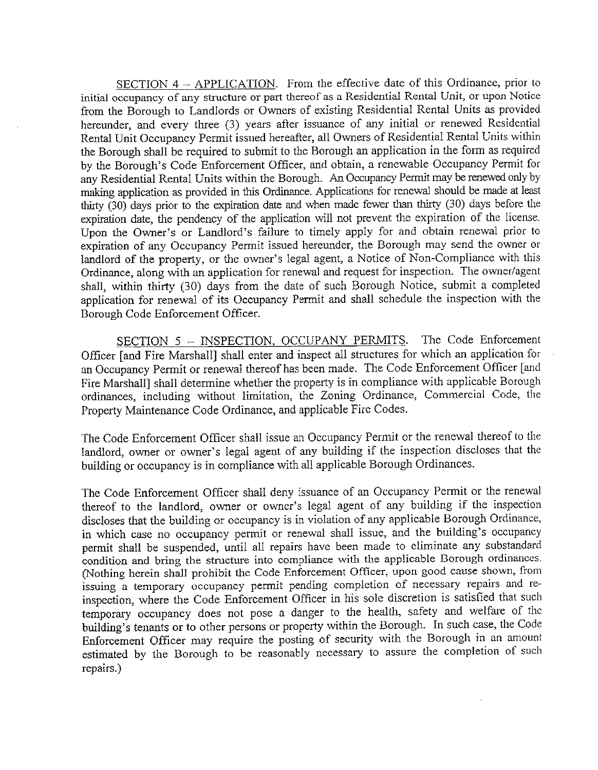SECTION 4 - APPLICATION. From the effective date of this Ordinance, prior to initial occupancy of any structure or part thereof as a Residential Rental Unit, or upon Notice from the Borough to Landlords or Owners of existing Residential Rental Units as provided hereunder, and every three (3) years after issuance of any initial or renewed Residential Rental Unit Occupancy Permit issued hereafter, all Owners of Residential Rental Units within the Borough shall be required to submit to the Borough an application in the form as required by the Borough's Code Enforcement Officer, and obtain, a renewable Occupancy Permit for any Residential Rental Units within the Borough. An Occupancy Permit may be renewed only by making application as provided in this Ordinance. Applications for renewal should be made at least thirty (30) days prior to the expiration date and when made fewer than thirty (30) days before the expiration date, the pendency of the application will not prevent the expiration of the license. Upon the Owner's or Landlord's failure to timely apply for and obtain renewal prior to expiration of any Occupancy Permit issued hereunder, the Borough may send the owner or landlord of the property, or the owner's legal agent, a Notice of Non-Compliance with this Ordinance, along with an application for renewal and request for inspection. The owner/agent shall, within thirty (30) days from the date of such Borough Notice, submit a completed application for renewal of its Occupancy Permit and shall schedule the inspection with the Borough Code Enforcement Officer.

SECTION 5 - INSPECTION, OCCUPANY PERMITS. The Code Enforcement Officer [ and Fire Marshall] shall enter and inspect all structures for which an application for an Occupancy Permit or renewal thereof has been made. The Code Enforcement Officer [and Fire Marshall] shall determine whether the property is in compliance with applicable Borough ordinances, including without limitation, the Zoning Ordinance, Commercial Code, the Property Maintenance Code Ordinance, and applicable Fire Codes.

The Code Enforcement Officer shall issue an Occupancy Permit or the renewal thereof to the landlord, owner or owner's legal agent of any building if the inspection discloses that the building or occupancy is in compliance with all applicable Borough Ordinances.

The Code Enforcement Officer shall deny issuance of an Occupancy Permit or the renewal thereof to the landlord, owner or owner's legal agent of any building if the inspection discloses that the building or occupancy is in violation of any applicable Borough Ordinance, in which case no occupancy permit or renewal shall issue, and the building's occupancy permit shall be suspended, until all repairs have been made to eliminate any substandard condition and bring the structure into compliance with the applicable Borough ordinances. (Nothing herein shall prohibit the Code Enforcement Officer, upon good cause shown, from issuing a temporary occupancy permit pending completion of necessary repairs and reinspection, where the Code Enforcement Officer in his sole discretion is satisfied that such temporary occupancy does not pose a danger to the health, safety and welfare of the building's tenants or to other persons or property within the Borough. In such case, the Code Enforcement Officer may require the posting of security with the Borough in an amount estimated by the Borough to be reasonably necessary to assure the completion of such repairs.)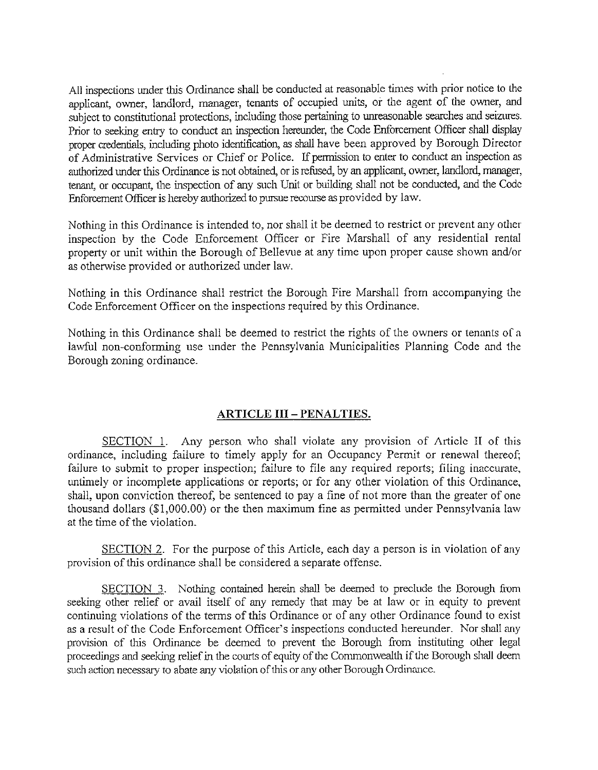All inspections under this Ordinance shall be conducted at reasonable times with prior notice lo the applicant, owner, landlord, manager, tenants of occupied units, or the agent of the owner, and subject to constitutional protections, including those pertaining to unreasonable searches and seizures. Prior to seeking entry to conduct an inspection hereunder, the Code Enforcement Officer shall display proper credentials, including photo identification, as shall have been approved by Borough Director of Administrative Services or Chief or Police. If permission to enter to conduct an inspection as authorized under this Ordinance is not obtained, or is refused, by an applicant, owner, landlord, manager, tenant, or occupant, the inspection of any such Unit or building shall not be conducted, and the Code Enforcement Officer is hereby authorized to pursue recourse as provided by law.

Nothing in this Ordinance is intended to, nor shall it be deemed to restrict or prevent any other inspection by the Code Enforcement Officer or Fire Marshall of any residential rental property or unit within the Borough of Bellevue at any time upon proper cause shown and/or as otherwise provided or authorized under law.

Nothing in this Ordinance shall restrict the Borough Fire Marshall from accompanying the Code Enforcement Officer on the inspections required by this Ordinance.

Nothing in this Ordinance shall be deemed to restrict the rights of the owners or tenants of a lawful non-conforming use under the Pennsylvania Municipalities Planning Code and the Borough zoning ordinance.

#### **ARTICLE III-PENALTIES.**

SECTION 1. Any person who shall violate any provision of Article II of this ordinance, including failure to timely apply for an Occupancy Permit or renewal thereof; failure to submit to proper inspection; failure to file any required reports; filing inaccurate, untimely or incomplete applications or reports; or for any other violation of this Ordinance, shall, upon conviction thereof, be sentenced to pay a fine of not more than the greater of one thousand dollars (\$1,000.00) or the then maximum fine as permitted under Pennsylvania law at the time of the violation.

SECTION 2. For the purpose of this Article, each day a person is in violation of any provision of this ordinance shall be considered a separate offense.

SECTION 3. Nothing contained herein shall be deemed to preclude the Borough from seeking other relief or avail itself of any remedy that may be at law or in equity to prevent continuing violations of the terms of this Ordinance or of any other Ordinance found to exist as a result of the Code Enforcement Officer's inspections conducted hereunder. Nor shall any provision of this Ordinance be deemed to prevent the Borough from instituting other legal proceedings and seeking relief in the courts of equity of the Commonwealth if the Borough shall deem such action necessary to abate any violation of this or any other Borough Ordinance.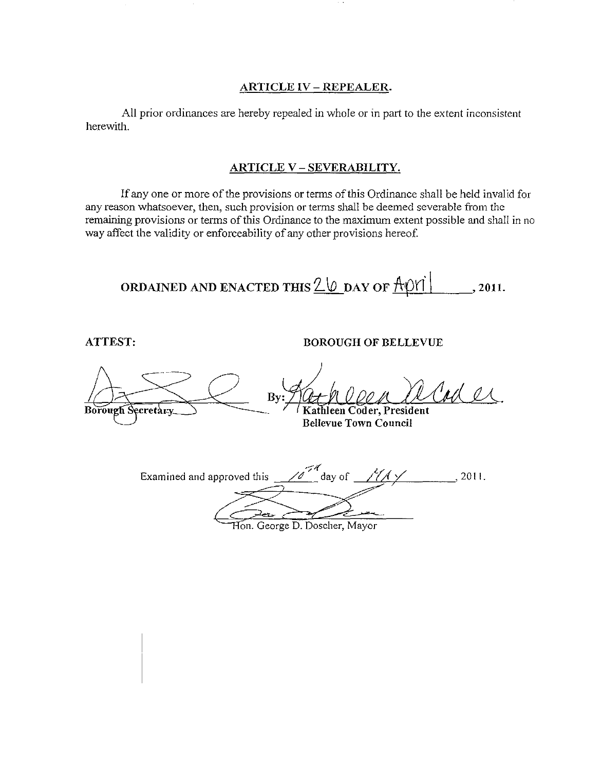#### **ARTICLE IV - REPEALER.**

All prior ordinances are hereby repealed in whole or in part to the extent inconsistent herewith.

#### **ARTJCLE\_ V - SEVEM\_131LI1'Y.**

If any one or more of the provisions or terms of this Ordinance shall be held invalid for any reason whatsoever, then, such provision or terms shall be deemed severable from the remaining provisions or terms of this Ordinance to the maximum extent possible and shall in no way affect the validity or enforceability of any other provisions hereof.

**ORDAINED AND ENACTED THIS**  $\frac{20}{2}$  **DAY OF**  $\frac{A}{9}$ **ri** , 2011.

**ATTEST: BOROUGH OF BELLEVUE** 

ORDAINED AND ENACTED THIS <u>LV</u> DAY OF  $\frac{P(1|1|)}{P(1|1)}$ , 2011.<br>
ATTEST:<br>
BOROUGH OF BELLEVUE<br>
By:  $\frac{P(2+P)Q(1)}{Rathleen Coder, President}$ <br>
Bellevue Town Council **By:** Act Cole New York Borough Secretary **Bellevue Town Council**  Examined and approved this /0<sup>74</sup> day of 1944 *-1/-::?'*  ~-? , 2011.

Hon. George D. Doscher, Mayor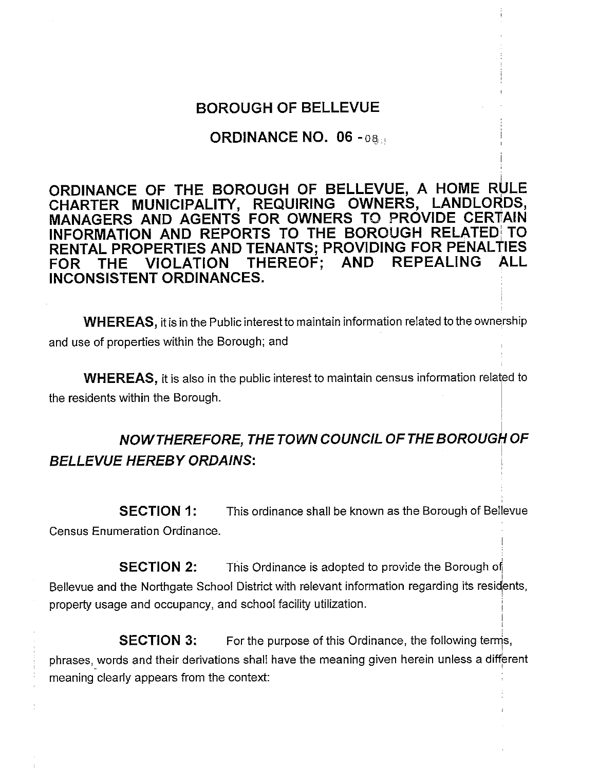### **BOROUGH OF BELLEVUE**

### **ORDINANCE NO. 06 - 08:44**

**ORDINANCE OF THE BOROUGH OF BELLEVUE, A HOME RULE CHARTER MUNICIPALITY, REQUIRING OWNERS, LANDLORDS, MANAGERS AND AGENTS FOR OWNERS TO PROVIDE CERTAIN INFORMATION AND REPORTS TO THE BOROUGH RELATED: TO RENTAL PROPERTIES AND TENANTS; PROVIDING FOR PENALTIES**  FOR THE VIOLATION THEREOF: AND **INCONSISTENT ORDINANCES.** 

**WHEREAS, it is in the Public interest to maintain information related to the ownership** and use of properties within the Borough; and

**WHEREAS,** it is also in the public interest to maintain census information related to the residents within the Borough.

# **NOW THEREFORE, THE TOWN COUNCIL OF THE BOROUGh OF BELLEVUE HEREBY ORDAINS:** '

**SECTION 1:** This ordinance shall be known as the Borough of Bellevue Census Enumeration Ordinance.

**SECTION 2:** This Ordinance is adopted to provide the Borough of Bellevue and the Northgate School District with relevant information regarding its residents, property usage and occupancy, and school facility utilization.

**SECTION 3:** For the purpose of this Ordinance, the following terms, phrases, words and their derivations shall have the meaning given herein unless a different meaning clearly appears from the context: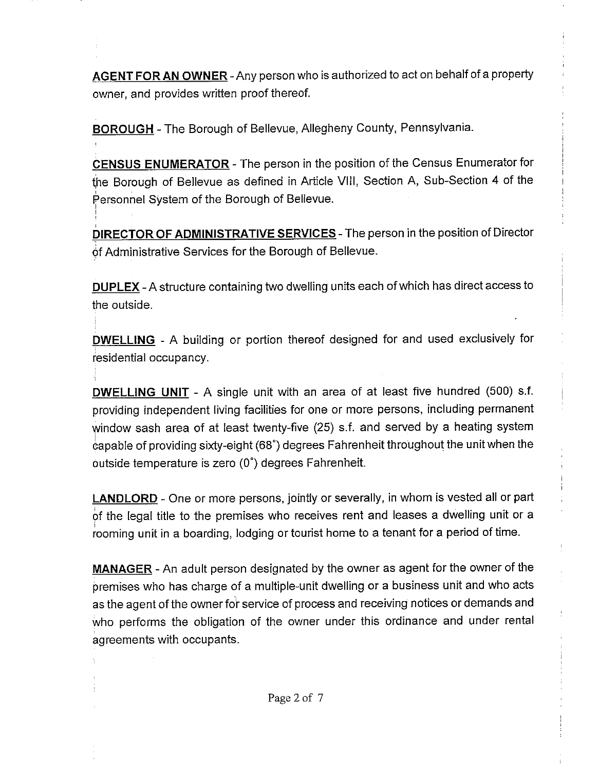**AGENT FORAN OWNER-Any** person who is authorized to act on behalf of a property owner, and provides written proof thereof.

**BOROUGH** - The Borough of Bellevue, Allegheny County, Pennsylvania.

'

**CENSUS ENUMERATOR** - The person in the position of the Census Enumerator for the Borough of Bellevue as defined in Article VIII, Section A, Sub-Section 4 of the Personnel System of the Borough of Bellevue.

**DIRECTOR OF ADMINISTRATIVE SERVICES** - The person in the position of Director of Administrative Services for the Borough of Bellevue.

**DUPLEX-A** structure containing two dwelling units each of which has direct access to the outside.

**DWELLING** - A building or portion thereof designed for and used exclusively for iesidential occupancy.

**DWELLING UNIT** - A single unit with an area of at least five hundred (500) s.f. providing independent living facilities for one or more persons, including permanent window sash area of at least twenty-five (25) s.f. and served by a heating system eapable of providing sixty-eight (68°) degrees Fahrenheit throughout the unit when the outside temperature is zero (0°) degrees Fahrenheit.

**LANDLORD** - One or more persons, jointly or severally, in whom is vested all or part of the legal title to the premises who receives rent and leases a dwelling unit or a rooming unit in a boarding, lodging or tourist home to a tenant for a period of time.

**MANAGER** - An adult person designated by the owner as agent for the owner of the premises who has charge of a multiple-unit dwelling or a business unit and who acts as the agent of the owner for service of process and receiving notices or demands and who performs the obligation of the owner under this ordinance and under rental agreements with occupants.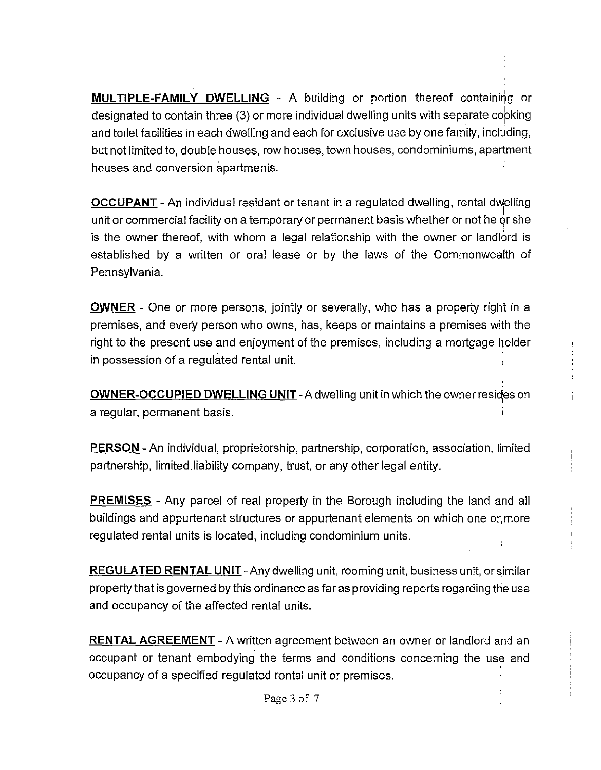**MULTIPLE-FAMILY DWELLING - A building or portion thereof containing or** designated to contain three (3) or more individual dwelling units with separate copking and toilet facilities in each dwelling and each for exclusive use by one family, including, but not limited to, double houses, row houses, town houses, condominiums, apartment houses and conversion apartments.

**OCCUPANT** - An individual resident or tenant in a regulated dwelling, rental dwelling unit or commercial facility on a temporary or permanent basis whether or not he *qr* she is the owner thereof, with whom a legal relationship with the owner or landlord is established by a written or oral lease or by the laws of the Commonwealth of Pennsylvania.

i

**OWNER** - One or more persons, jointly or severally, who has a property right in a premises, and every person who owns, has, keeps or maintains a premises with the right to the present use and enjoyment of the premises, including a mortgage holder in possession of a regulated rental unit.

**OWNER-OCCUPIED DWELLING UNIT** - A dwelling unit in which the owner resides on a regular, permanent basis.

**PERSON** - An individual, proprietorship, partnership, corporation, association, limited partnership, limited liability company, trust, or any other legal entity.

**PREMISES** - Any parcel of real property in the Borough including the land and all buildings and appurtenant structures or appurtenant elements on which one or more regulated rental units is located, including condominium units.

**REGULATED RENTAL UNIT** -Any dwelling unit, rooming unit, business unit, or similar property that is governed by this ordinance as far as providing reports regarding the use and occupancy of the affected rental units.

**RENTAL AGREEMENT** - A written agreement between an owner or landlord and an occupant or tenant embodying the terms and conditions concerning the use and occupancy of a specified regulated rental unit or premises.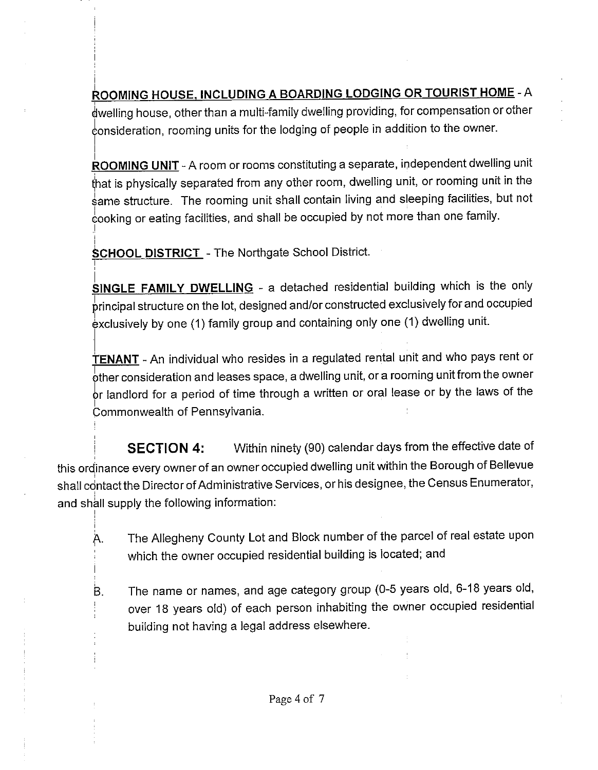**ROOMING HOUSE, INCLUDING A BOARDING LODGING OR TOURIST HOME** -A dwelling house, other than a multi-family dwelling providing, for compensation or other 6onsideration, rooming units for the lodging of people in addition to the owner.

**ROOMING UNIT** - A room or rooms constituting a separate, independent dwelling unit that is physically separated from any other room, dwelling unit, or rooming unit in the same structure. The rooming unit shall contain living and sleeping facilities, but not cooking or eating facilities, and shall be occupied by not more than one family.

**SCHOOL DISTRICT** - The Northgate School District.

I .

.1

'

**SINGLE FAMILY DWELLING** - a detached residential building which is the only principal structure on the lot, designed and/or constructed exclusively for and occupied<br>exclusively by one (1) family group and containing only one (1) dwelling unit.

**TENANT** - An individual who resides in a regulated rental unit and who pays rent or  $\frac{1}{2}$  other consideration and leases space, a dwelling unit, or a rooming unit from the owner **br landlord for a period of time through a written or oral lease or by the laws of the Integrational Commonwealth of Pennsylvania** Commonwealth of Pennsylvania.

**SECTION 4:** Within ninety (90) calendar days from the effective date of this ordinance every owner of an owner occupied dwelling unit within the Borough of Bellevue shall contact the Director of Administrative Services, or his designee, the Census Enumerator, and shall supply the following information:

- A. The Allegheny County Lot and Block number of the parcel of real estate upon which the owner occupied residential building is located; and
- B. The name or names, and age category group (0-5 years old, 6-18 years old, over 18 years old) of each person inhabiting the owner occupied residential building not having a legal address elsewhere.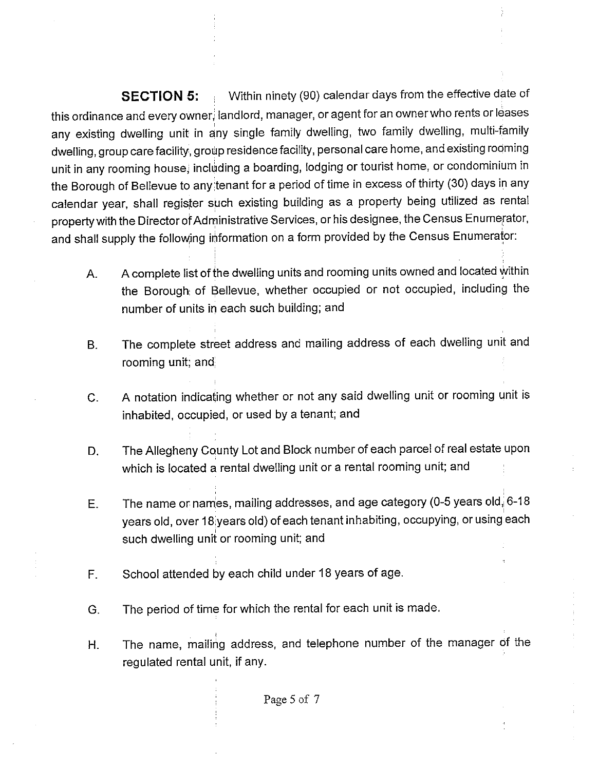**SECTION 5:** Within ninety (90) calendar days from the effective date of this ordinance and every owner, landlord, manager, or agent for an owner who rents or leases any existing dwelling unit in any single family dwelling, two family dwelling, multi-family dwelling, group care facility, group residence facility, personal care home, and existing rodming unit in any rooming house, including a boarding, lodging or tourist home, or condominium in the Borough of Bellevue to any tenant for a period of time in excess of thirty (30) days in any calendar year, shall register such existing building as a property being utilized as rental property with the Director of Administrative Services, or his designee, the Census Enumerator, and shall supply the following information on a form provided by the Census Enumerator:

- A. A complete list of the dwelling units and rooming units owned and located within the Borough of Bellevue, whether occupied or not occupied, including the number of units in each such building; and
- B. The complete street address and mailing address of each dwelling unit and rooming unit; and;
- C. A notation indicating whether or not any said dwelling unit or rooming unit is inhabited, occupied, or used by a tenant; and
- D. The Allegheny County Lot and Block number of each parcel of real estate upon which is located a rental dwelling unit or a rental rooming unit; and
- E. The name or names, mailing addresses, and age category (0-5 years old, 6-18 years old, over 18 years old) of each tenant inhabiting, occupying, or using each such dwelling unit or rooming unit; and
- F. School attended by each child under 18 years of age.
- G. The period of time for which the rental for each unit is made.
- H. The name, mailing address, and telephone number of the manager of the regulated rental unit, if any.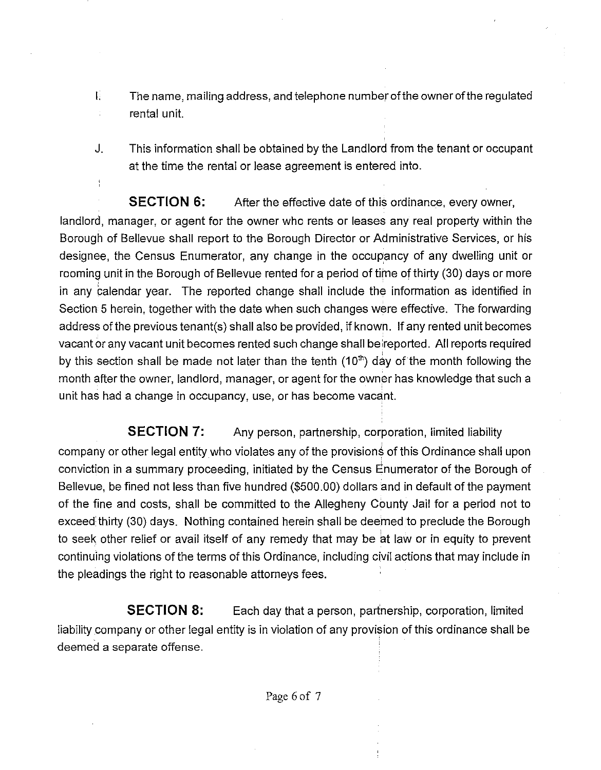- I. The name, mailing address, and telephone number of the owner of the regulated rental unit.  $\frac{1}{4}$
- J. This information shall be obtained by the Landlord from the tenant or occupant at the time the rental or lease agreement is entered into.

**SECTION 6:** After the effective date of this ordinance, every owner, landlord, manager, or agent for the owner who rents or leases any real property within the Borough of Bellevue shall report to the Borough Director or Administrative Services, or his designee, the Census Enumerator, any change in the occupancy of any dwelling unit or rooming unit in the Borough of Bellevue rented for a period of time of thirty (30) days or more in any calendar year. The reported change shall include the information as identified in Section 5 herein, together with the date when such changes were effective. The forwarding address of the previous tenant(s) shall also be provided, if known. If any rented unit becomes vacant or any vacant unit becomes rented such change shall be reported. All reports required by this section shall be made not later than the tenth  $(10<sup>th</sup>)$  day of the month following the month after the owner, landlord, manager, or agent for the owner has knowledge that such a unit has had a change in occupancy, use, or has become vacant.

**SECTION 7:** Any person, partnership, corporation, limited liability company or other legal entity who violates any of the provisions of this Ordinance shall upon conviction in a summary proceeding, initiated by the Census Enumerator of the Borough of Bellevue, be fined not less than five hundred (\$500.00) dollars and in default of the payment of the fine and costs, shall be committed to the Allegheny County Jail for a period not to exceed thirty (30) days. Nothing contained herein shall be deemed to preclude the Borough to seek other relief or avail itself of any remedy that may be at law or in equity to prevent continuing violations of the terms of this Ordinance, including civil actions that may include in the pleadings the right to reasonable attorneys fees.

**SECTION 8:** Each day that a person, partnership, corporation, limited liability company or other legal entity is in violation of any provision of this ordinance shall be deemed a separate offense.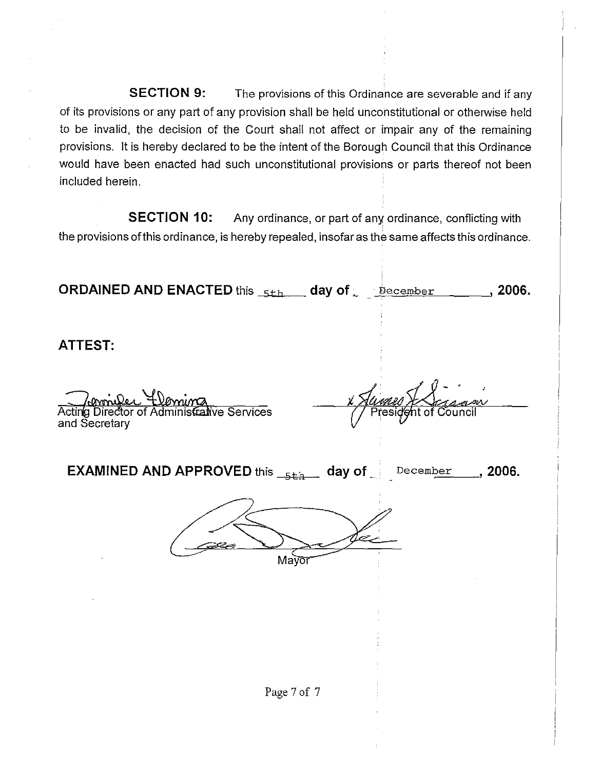**SECTION 9:** The provisions of this Ordinance are severable and if any of its provisions or any part of any provision shall be held unconstitutional or otherwise held to be invalid, the decision of the Court shall not affect or impair any of the remaining provisions. It is hereby declared to be the intent of the Borough Council that this Ordinance would have been enacted had such unconstitutional provisions or parts thereof not been included herein.

**SECTION 10:** Any ordinance, or part of any ordinance, conflicting with the provisions of this ordinance, is hereby repealed, insofar as the same affects this ordinance.

| <b>ORDAINED AND ENACTED</b> this $5th$ day of $\frac{1}{2}$ becember             | $\frac{1}{2}$ , 2006.                                          |  |
|----------------------------------------------------------------------------------|----------------------------------------------------------------|--|
| ATTEST:                                                                          |                                                                |  |
| Commiler Flormina<br>Acting Director of Administrative Services<br>and Secretary | <u>ami</u><br>esidént of (<br>$\overline{\mathfrak{Z}}$ ouncil |  |
| <b>EXAMINED AND APPROVED</b> this $_{5th}$ day of $_{\odot}$ December , 2006.    |                                                                |  |
| Mayor                                                                            |                                                                |  |
|                                                                                  |                                                                |  |
|                                                                                  |                                                                |  |
| Page 7 of 7                                                                      |                                                                |  |